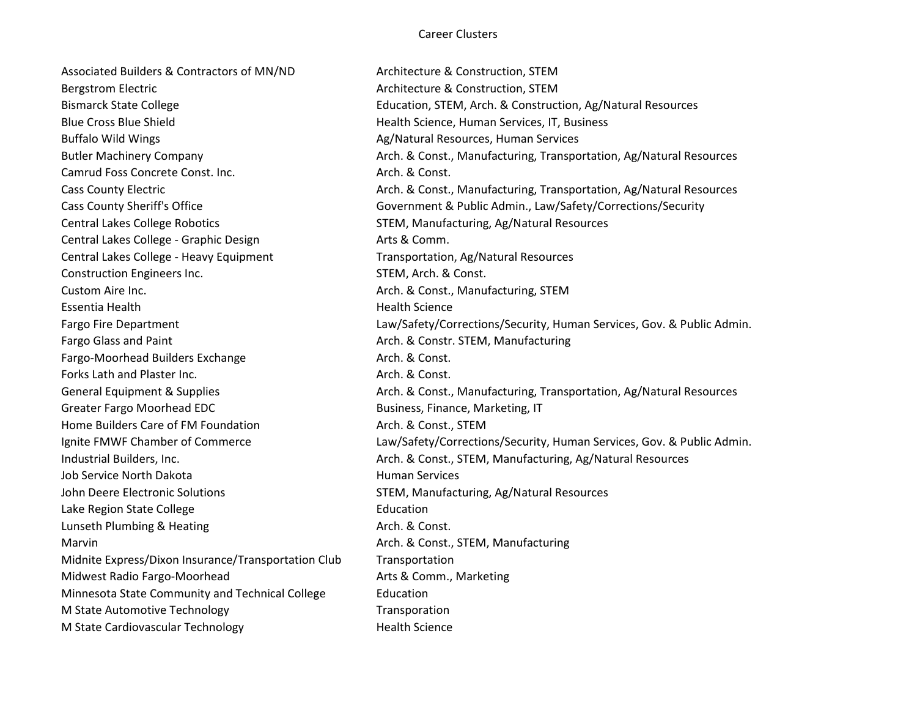Associated Builders & Contractors of MN/ND Architecture & Construction, STEM Bergstrom Electric **Architecture & Construction, STEM** Blue Cross Blue Shield Health Science, Human Services, IT, Business Buffalo Wild Wings **Ag/Natural Resources, Human Services** Ag/Natural Resources, Human Services Camrud Foss Concrete Const. Inc. **Arch. & Const.** Arch. & Const. Central Lakes College Robotics STEM, Manufacturing, Ag/Natural Resources Central Lakes College - Graphic Design **Arts & Comm.** Central Lakes College - Heavy Equipment Transportation, Ag/Natural Resources Construction Engineers Inc. The Construction Engineers Inc. STEM, Arch. & Const. Custom Aire Inc. **Arch. Arch. & Const., Manufacturing, STEM** Essentia Health Health Science Fargo Glass and Paint **Arch. Arch. & Constr. STEM, Manufacturing** Fargo-Moorhead Builders Exchange **Arch. & Const.** 2015. Forks Lath and Plaster Inc. Arch. & Const. Greater Fargo Moorhead EDC **Business, Finance, Marketing, IT** Home Builders Care of FM Foundation Arch. & Const., STEM Job Service North Dakota **Human Services** Human Services John Deere Electronic Solutions STEM, Manufacturing, Ag/Natural Resources Lake Region State College **Education** Lunseth Plumbing & Heating Arch. & Const. Marvin Marvin Arch. & Const., STEM, Manufacturing Midnite Express/Dixon Insurance/Transportation Club Transportation Midwest Radio Fargo-Moorhead Arts & Comm., Marketing Minnesota State Community and Technical College Education M State Automotive Technology Transporation M State Cardiovascular Technology The Mealth Science

Bismarck State College **Education, STEM, Arch. & Construction, Ag/Natural Resources** Butler Machinery Company **Arch. & Const., Manufacturing, Transportation**, Ag/Natural Resources Cass County Electric **Arch. Arch. & Const., Manufacturing, Transportation, Ag/Natural Resources** Cass County Sheriff's Office **Government & Public Admin., Law/Safety/Corrections/Security** Fargo Fire Department **Law/Safety/Corrections/Security, Human Services, Gov. & Public Admin.** General Equipment & Supplies **Arch. & Const., Manufacturing, Transportation**, Ag/Natural Resources Ignite FMWF Chamber of Commerce Law/Safety/Corrections/Security, Human Services, Gov. & Public Admin. Industrial Builders, Inc. Arch. & Const., STEM, Manufacturing, Ag/Natural Resources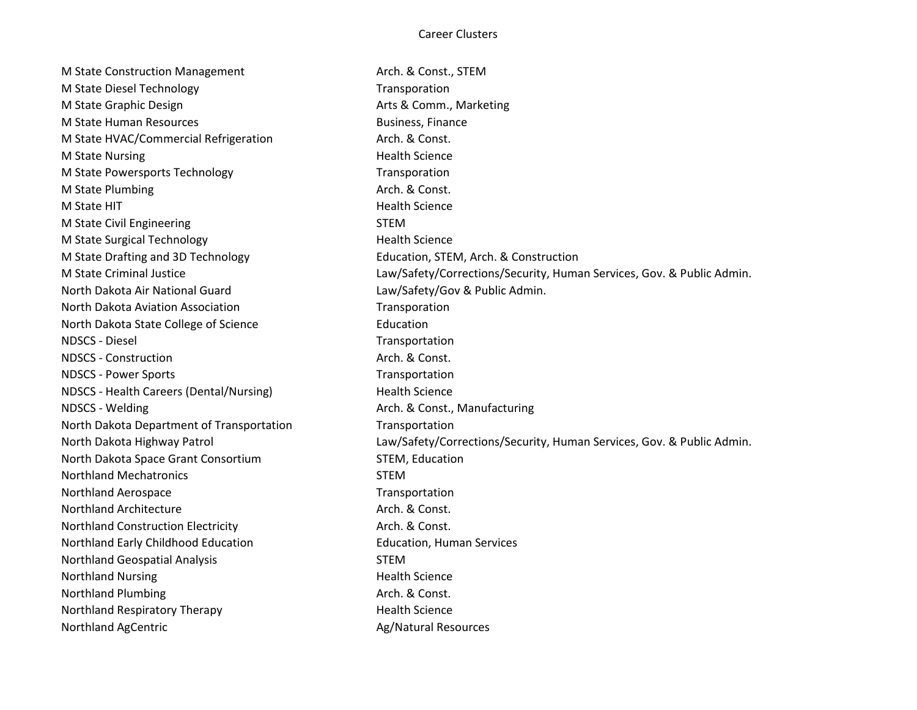M State Construction Management Arch. & Const., STEM M State Diesel Technology National Contract of Transporation M State Graphic Design Matter Arts & Comm., Marketing M State Human Resources and the state Business, Finance M State HVAC/Commercial Refrigeration Arch. & Const. M State Nursing **Health** Science M State Powersports Technology Transporation M State Plumbing Arch. & Const. M State HIT **Health Science M** State HIT M State Civil Engineering STEM M State Surgical Technology **Health Science** Health Science M State Drafting and 3D Technology Education, STEM, Arch. & Construction M State Criminal Justice Law/Safety/Corrections/Security, Human Services, Gov. & Public Admin. North Dakota Air National Guard Law/Safety/Gov & Public Admin. North Dakota Aviation Association **North Accomplished Transporation** North Dakota State College of Science **Education** NDSCS - Diesel Transportation NDSCS - Construction Arch. & Const. NDSCS - Power Sports Transportation NDSCS - Health Careers (Dental/Nursing) Health Science NDSCS - Welding **Arch. & Const., Manufacturing** North Dakota Department of Transportation Transportation North Dakota Highway Patrol Law/Safety/Corrections/Security, Human Services, Gov. & Public Admin. North Dakota Space Grant Consortium STEM, Education Northland Mechatronics **STEM** Northland Aerospace and the Control of Transportation of Transportation Northland Architecture **Arch. & Const.** Arch. & Const. Northland Construction Electricity **Arch. & Const.** Arch. & Const. Northland Early Childhood Education **Education** Education, Human Services Northland Geospatial Analysis STEM Northland Nursing **Health** Science Northland Plumbing and a series are a series of the Arch. & Const. Northland Respiratory Therapy **Health Science** Health Science Northland AgCentric **Ag/Natural Resources** Ag/Natural Resources